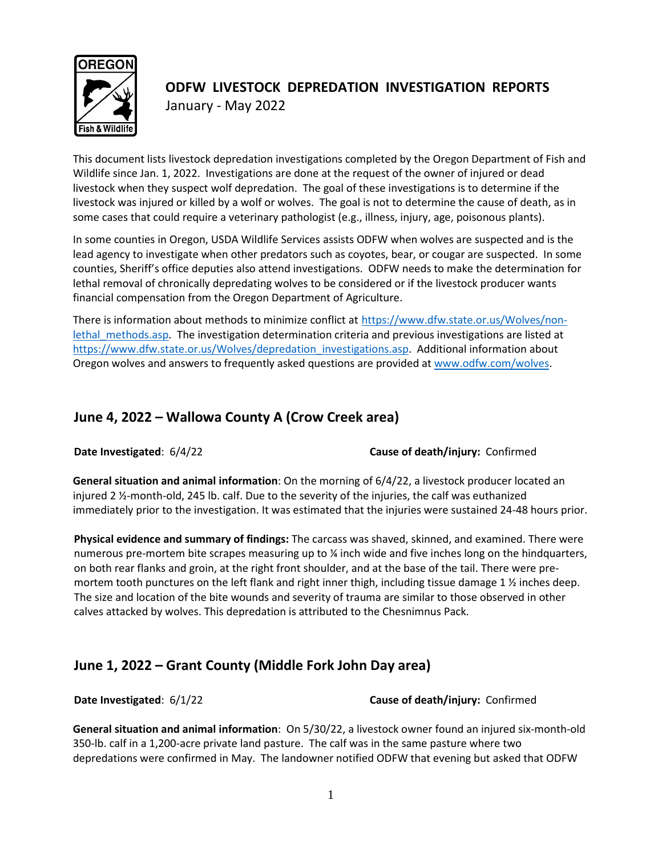

# **ODFW LIVESTOCK DEPREDATION INVESTIGATION REPORTS** January - May 2022

This document lists livestock depredation investigations completed by the Oregon Department of Fish and Wildlife since Jan. 1, 2022. Investigations are done at the request of the owner of injured or dead livestock when they suspect wolf depredation. The goal of these investigations is to determine if the livestock was injured or killed by a wolf or wolves. The goal is not to determine the cause of death, as in some cases that could require a veterinary pathologist (e.g., illness, injury, age, poisonous plants).

In some counties in Oregon, USDA Wildlife Services assists ODFW when wolves are suspected and is the lead agency to investigate when other predators such as coyotes, bear, or cougar are suspected. In some counties, Sheriff's office deputies also attend investigations. ODFW needs to make the determination for lethal removal of chronically depredating wolves to be considered or if the livestock producer wants financial compensation from the Oregon Department of Agriculture.

There is information about methods to minimize conflict at [https://www.dfw.state.or.us/Wolves/non](https://www.dfw.state.or.us/Wolves/non-lethal_methods.asp)lethal methods.asp. The investigation determination criteria and previous investigations are listed at [https://www.dfw.state.or.us/Wolves/depredation\\_investigations.asp.](https://www.dfw.state.or.us/Wolves/depredation_investigations.asp) Additional information about Oregon wolves and answers to frequently asked questions are provided a[t www.odfw.com/wolves.](http://www.odfw.com/wolves)

# **June 4, 2022 – Wallowa County A (Crow Creek area)**

**Date Investigated**: 6/4/22 **Cause of death/injury:** Confirmed

**General situation and animal information**: On the morning of 6/4/22, a livestock producer located an injured 2 ½-month-old, 245 lb. calf. Due to the severity of the injuries, the calf was euthanized immediately prior to the investigation. It was estimated that the injuries were sustained 24-48 hours prior.

**Physical evidence and summary of findings:** The carcass was shaved, skinned, and examined. There were numerous pre-mortem bite scrapes measuring up to ¼ inch wide and five inches long on the hindquarters, on both rear flanks and groin, at the right front shoulder, and at the base of the tail. There were premortem tooth punctures on the left flank and right inner thigh, including tissue damage 1  $\frac{1}{2}$  inches deep. The size and location of the bite wounds and severity of trauma are similar to those observed in other calves attacked by wolves. This depredation is attributed to the Chesnimnus Pack.

# **June 1, 2022 – Grant County (Middle Fork John Day area)**

**Date Investigated**: 6/1/22 **Cause of death/injury:** Confirmed

**General situation and animal information**: On 5/30/22, a livestock owner found an injured six-month-old 350-lb. calf in a 1,200-acre private land pasture. The calf was in the same pasture where two depredations were confirmed in May. The landowner notified ODFW that evening but asked that ODFW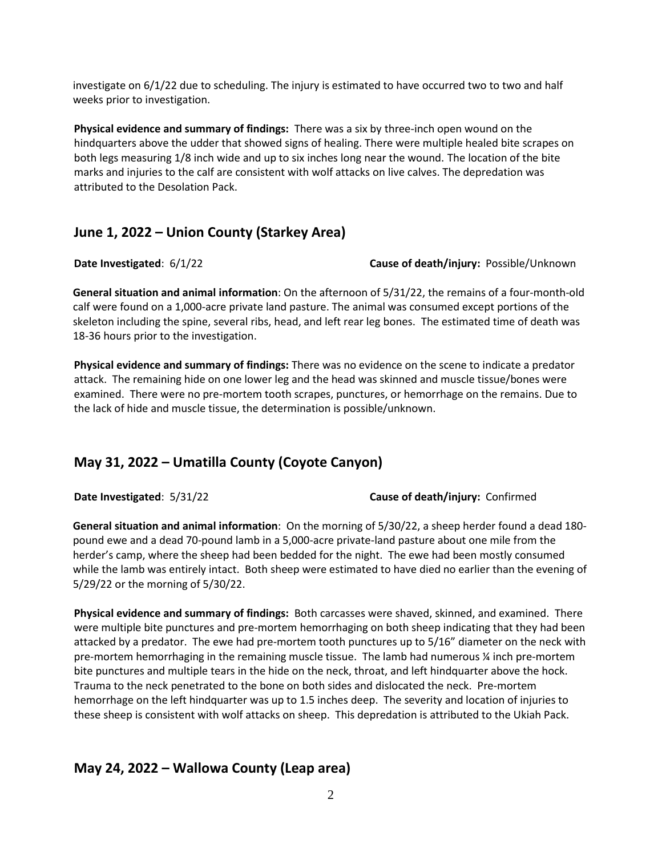investigate on 6/1/22 due to scheduling. The injury is estimated to have occurred two to two and half weeks prior to investigation.

**Physical evidence and summary of findings:** There was a six by three-inch open wound on the hindquarters above the udder that showed signs of healing. There were multiple healed bite scrapes on both legs measuring 1/8 inch wide and up to six inches long near the wound. The location of the bite marks and injuries to the calf are consistent with wolf attacks on live calves. The depredation was attributed to the Desolation Pack.

## **June 1, 2022 – Union County (Starkey Area)**

#### **Date Investigated: 6/1/22 <b>Cause of death/injury:** Possible/Unknown

**General situation and animal information**: On the afternoon of 5/31/22, the remains of a four-month-old calf were found on a 1,000-acre private land pasture. The animal was consumed except portions of the skeleton including the spine, several ribs, head, and left rear leg bones. The estimated time of death was 18-36 hours prior to the investigation.

**Physical evidence and summary of findings:** There was no evidence on the scene to indicate a predator attack. The remaining hide on one lower leg and the head was skinned and muscle tissue/bones were examined. There were no pre-mortem tooth scrapes, punctures, or hemorrhage on the remains. Due to the lack of hide and muscle tissue, the determination is possible/unknown.

# **May 31, 2022 – Umatilla County (Coyote Canyon)**

**Date Investigated**: 5/31/22 **Cause of death/injury:** Confirmed

**General situation and animal information**: On the morning of 5/30/22, a sheep herder found a dead 180 pound ewe and a dead 70-pound lamb in a 5,000-acre private-land pasture about one mile from the herder's camp, where the sheep had been bedded for the night. The ewe had been mostly consumed while the lamb was entirely intact. Both sheep were estimated to have died no earlier than the evening of 5/29/22 or the morning of 5/30/22.

**Physical evidence and summary of findings:** Both carcasses were shaved, skinned, and examined. There were multiple bite punctures and pre-mortem hemorrhaging on both sheep indicating that they had been attacked by a predator. The ewe had pre-mortem tooth punctures up to 5/16" diameter on the neck with pre-mortem hemorrhaging in the remaining muscle tissue. The lamb had numerous ¼ inch pre-mortem bite punctures and multiple tears in the hide on the neck, throat, and left hindquarter above the hock. Trauma to the neck penetrated to the bone on both sides and dislocated the neck. Pre-mortem hemorrhage on the left hindquarter was up to 1.5 inches deep. The severity and location of injuries to these sheep is consistent with wolf attacks on sheep. This depredation is attributed to the Ukiah Pack.

# **May 24, 2022 – Wallowa County (Leap area)**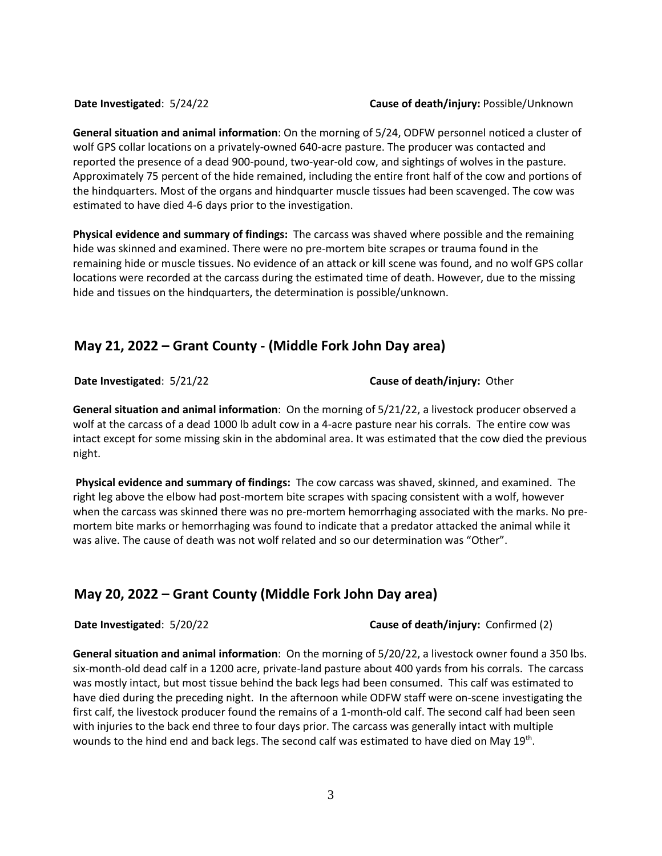**General situation and animal information**: On the morning of 5/24, ODFW personnel noticed a cluster of wolf GPS collar locations on a privately-owned 640-acre pasture. The producer was contacted and reported the presence of a dead 900-pound, two-year-old cow, and sightings of wolves in the pasture. Approximately 75 percent of the hide remained, including the entire front half of the cow and portions of the hindquarters. Most of the organs and hindquarter muscle tissues had been scavenged. The cow was estimated to have died 4-6 days prior to the investigation.

**Physical evidence and summary of findings:** The carcass was shaved where possible and the remaining hide was skinned and examined. There were no pre-mortem bite scrapes or trauma found in the remaining hide or muscle tissues. No evidence of an attack or kill scene was found, and no wolf GPS collar locations were recorded at the carcass during the estimated time of death. However, due to the missing hide and tissues on the hindquarters, the determination is possible/unknown.

## **May 21, 2022 – Grant County - (Middle Fork John Day area)**

**Date Investigated**: 5/21/22 **Cause of death/injury:** Other

**General situation and animal information**: On the morning of 5/21/22, a livestock producer observed a wolf at the carcass of a dead 1000 lb adult cow in a 4-acre pasture near his corrals. The entire cow was intact except for some missing skin in the abdominal area. It was estimated that the cow died the previous night.

**Physical evidence and summary of findings:** The cow carcass was shaved, skinned, and examined. The right leg above the elbow had post-mortem bite scrapes with spacing consistent with a wolf, however when the carcass was skinned there was no pre-mortem hemorrhaging associated with the marks. No premortem bite marks or hemorrhaging was found to indicate that a predator attacked the animal while it was alive. The cause of death was not wolf related and so our determination was "Other".

# **May 20, 2022 – Grant County (Middle Fork John Day area)**

**Date Investigated**: 5/20/22 **Cause of death/injury:** Confirmed (2)

**General situation and animal information**: On the morning of 5/20/22, a livestock owner found a 350 lbs. six-month-old dead calf in a 1200 acre, private-land pasture about 400 yards from his corrals. The carcass was mostly intact, but most tissue behind the back legs had been consumed. This calf was estimated to have died during the preceding night. In the afternoon while ODFW staff were on-scene investigating the first calf, the livestock producer found the remains of a 1-month-old calf. The second calf had been seen with injuries to the back end three to four days prior. The carcass was generally intact with multiple wounds to the hind end and back legs. The second calf was estimated to have died on May 19<sup>th</sup>.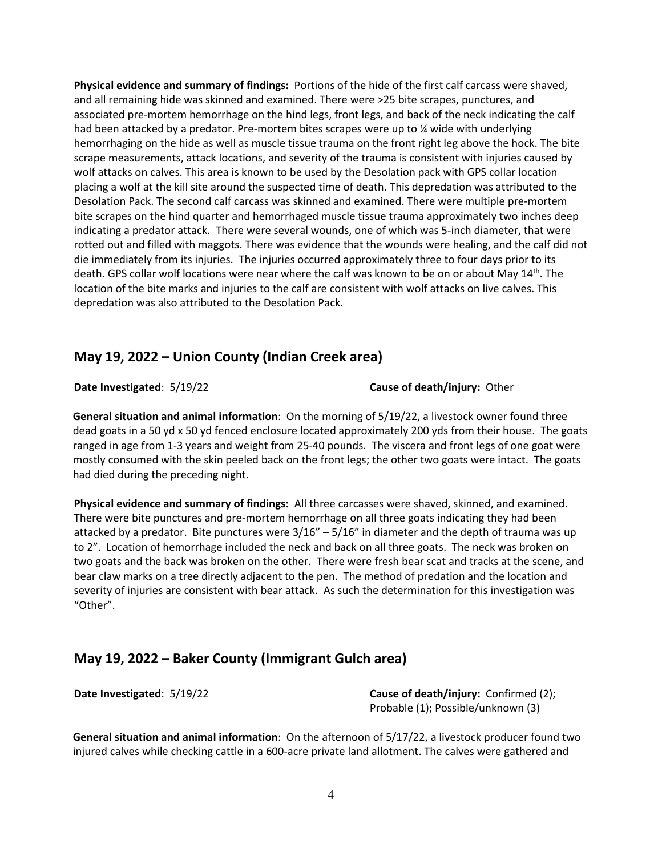**Physical evidence and summary of findings:** Portions of the hide of the first calf carcass were shaved, and all remaining hide was skinned and examined. There were >25 bite scrapes, punctures, and associated pre-mortem hemorrhage on the hind legs, front legs, and back of the neck indicating the calf had been attacked by a predator. Pre-mortem bites scrapes were up to % wide with underlying hemorrhaging on the hide as well as muscle tissue trauma on the front right leg above the hock. The bite scrape measurements, attack locations, and severity of the trauma is consistent with injuries caused by wolf attacks on calves. This area is known to be used by the Desolation pack with GPS collar location placing a wolf at the kill site around the suspected time of death. This depredation was attributed to the Desolation Pack. The second calf carcass was skinned and examined. There were multiple pre-mortem bite scrapes on the hind quarter and hemorrhaged muscle tissue trauma approximately two inches deep indicating a predator attack. There were several wounds, one of which was 5-inch diameter, that were rotted out and filled with maggots. There was evidence that the wounds were healing, and the calf did not die immediately from its injuries. The injuries occurred approximately three to four days prior to its death. GPS collar wolf locations were near where the calf was known to be on or about May 14<sup>th</sup>. The location of the bite marks and injuries to the calf are consistent with wolf attacks on live calves. This depredation was also attributed to the Desolation Pack.

#### **May 19, 2022 – Union County (Indian Creek area)**

**Date Investigated**: 5/19/22 **Cause of death/injury:** Other

**General situation and animal information**: On the morning of 5/19/22, a livestock owner found three dead goats in a 50 yd x 50 yd fenced enclosure located approximately 200 yds from their house. The goats ranged in age from 1-3 years and weight from 25-40 pounds. The viscera and front legs of one goat were mostly consumed with the skin peeled back on the front legs; the other two goats were intact. The goats had died during the preceding night.

**Physical evidence and summary of findings:** All three carcasses were shaved, skinned, and examined. There were bite punctures and pre-mortem hemorrhage on all three goats indicating they had been attacked by a predator. Bite punctures were  $3/16'' - 5/16''$  in diameter and the depth of trauma was up to 2". Location of hemorrhage included the neck and back on all three goats. The neck was broken on two goats and the back was broken on the other. There were fresh bear scat and tracks at the scene, and bear claw marks on a tree directly adjacent to the pen. The method of predation and the location and severity of injuries are consistent with bear attack. As such the determination for this investigation was "Other".

## **May 19, 2022 – Baker County (Immigrant Gulch area)**

**Date Investigated**: 5/19/22 **Cause of death/injury:** Confirmed (2); Probable (1); Possible/unknown (3)

**General situation and animal information**: On the afternoon of 5/17/22, a livestock producer found two injured calves while checking cattle in a 600-acre private land allotment. The calves were gathered and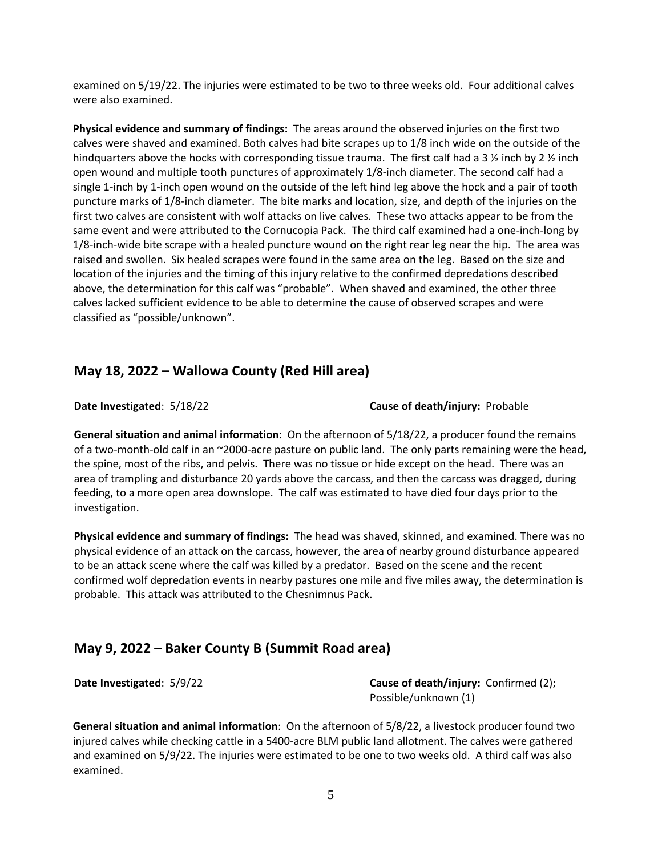examined on 5/19/22. The injuries were estimated to be two to three weeks old. Four additional calves were also examined.

**Physical evidence and summary of findings:** The areas around the observed injuries on the first two calves were shaved and examined. Both calves had bite scrapes up to 1/8 inch wide on the outside of the hindquarters above the hocks with corresponding tissue trauma. The first calf had a 3  $\frac{1}{2}$  inch by 2  $\frac{1}{2}$  inch open wound and multiple tooth punctures of approximately 1/8-inch diameter. The second calf had a single 1-inch by 1-inch open wound on the outside of the left hind leg above the hock and a pair of tooth puncture marks of 1/8-inch diameter. The bite marks and location, size, and depth of the injuries on the first two calves are consistent with wolf attacks on live calves. These two attacks appear to be from the same event and were attributed to the Cornucopia Pack. The third calf examined had a one-inch-long by 1/8-inch-wide bite scrape with a healed puncture wound on the right rear leg near the hip. The area was raised and swollen. Six healed scrapes were found in the same area on the leg. Based on the size and location of the injuries and the timing of this injury relative to the confirmed depredations described above, the determination for this calf was "probable". When shaved and examined, the other three calves lacked sufficient evidence to be able to determine the cause of observed scrapes and were classified as "possible/unknown".

#### **May 18, 2022 – Wallowa County (Red Hill area)**

**Date Investigated**: 5/18/22 **Cause of death/injury:** Probable

**General situation and animal information**: On the afternoon of 5/18/22, a producer found the remains of a two-month-old calf in an ~2000-acre pasture on public land. The only parts remaining were the head, the spine, most of the ribs, and pelvis. There was no tissue or hide except on the head. There was an area of trampling and disturbance 20 yards above the carcass, and then the carcass was dragged, during feeding, to a more open area downslope. The calf was estimated to have died four days prior to the investigation.

**Physical evidence and summary of findings:** The head was shaved, skinned, and examined. There was no physical evidence of an attack on the carcass, however, the area of nearby ground disturbance appeared to be an attack scene where the calf was killed by a predator. Based on the scene and the recent confirmed wolf depredation events in nearby pastures one mile and five miles away, the determination is probable. This attack was attributed to the Chesnimnus Pack.

#### **May 9, 2022 – Baker County B (Summit Road area)**

**Date Investigated:** 5/9/22 **Cause of death/injury:** Confirmed (2); Possible/unknown (1)

**General situation and animal information**: On the afternoon of 5/8/22, a livestock producer found two injured calves while checking cattle in a 5400-acre BLM public land allotment. The calves were gathered and examined on 5/9/22. The injuries were estimated to be one to two weeks old. A third calf was also examined.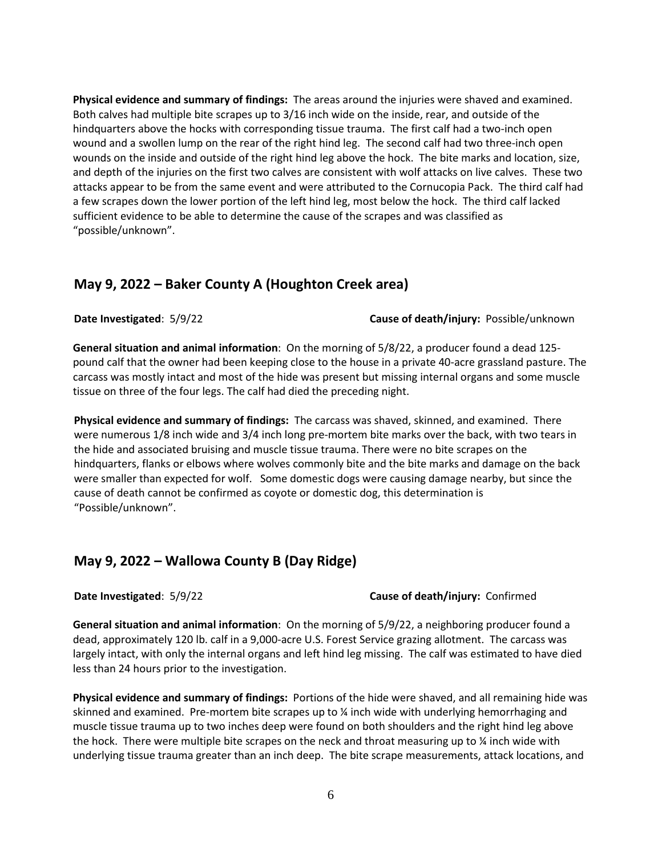**Physical evidence and summary of findings:** The areas around the injuries were shaved and examined. Both calves had multiple bite scrapes up to 3/16 inch wide on the inside, rear, and outside of the hindquarters above the hocks with corresponding tissue trauma. The first calf had a two-inch open wound and a swollen lump on the rear of the right hind leg. The second calf had two three-inch open wounds on the inside and outside of the right hind leg above the hock. The bite marks and location, size, and depth of the injuries on the first two calves are consistent with wolf attacks on live calves. These two attacks appear to be from the same event and were attributed to the Cornucopia Pack. The third calf had a few scrapes down the lower portion of the left hind leg, most below the hock. The third calf lacked sufficient evidence to be able to determine the cause of the scrapes and was classified as "possible/unknown".

#### **May 9, 2022 – Baker County A (Houghton Creek area)**

**Date Investigated**: 5/9/22 **Cause of death/injury:** Possible/unknown

**General situation and animal information**: On the morning of 5/8/22, a producer found a dead 125 pound calf that the owner had been keeping close to the house in a private 40-acre grassland pasture. The carcass was mostly intact and most of the hide was present but missing internal organs and some muscle tissue on three of the four legs. The calf had died the preceding night.

**Physical evidence and summary of findings:** The carcass was shaved, skinned, and examined. There were numerous 1/8 inch wide and 3/4 inch long pre-mortem bite marks over the back, with two tears in the hide and associated bruising and muscle tissue trauma. There were no bite scrapes on the hindquarters, flanks or elbows where wolves commonly bite and the bite marks and damage on the back were smaller than expected for wolf. Some domestic dogs were causing damage nearby, but since the cause of death cannot be confirmed as coyote or domestic dog, this determination is "Possible/unknown".

#### **May 9, 2022 – Wallowa County B (Day Ridge)**

#### **Date Investigated**: 5/9/22 **Cause of death/injury:** Confirmed

**General situation and animal information**: On the morning of 5/9/22, a neighboring producer found a dead, approximately 120 lb. calf in a 9,000-acre U.S. Forest Service grazing allotment. The carcass was largely intact, with only the internal organs and left hind leg missing. The calf was estimated to have died less than 24 hours prior to the investigation.

**Physical evidence and summary of findings:** Portions of the hide were shaved, and all remaining hide was skinned and examined. Pre-mortem bite scrapes up to ¼ inch wide with underlying hemorrhaging and muscle tissue trauma up to two inches deep were found on both shoulders and the right hind leg above the hock. There were multiple bite scrapes on the neck and throat measuring up to  $\chi$  inch wide with underlying tissue trauma greater than an inch deep. The bite scrape measurements, attack locations, and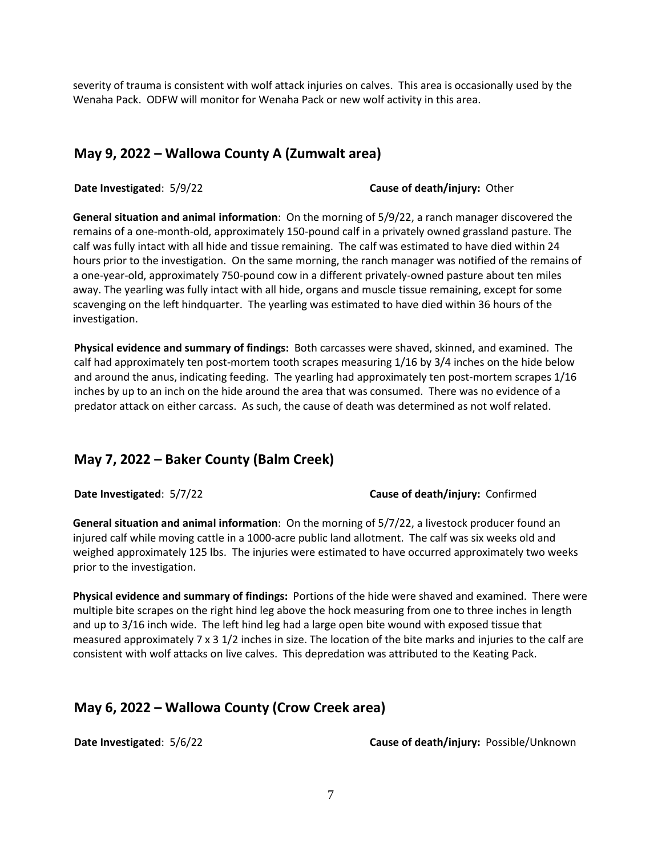severity of trauma is consistent with wolf attack injuries on calves. This area is occasionally used by the Wenaha Pack. ODFW will monitor for Wenaha Pack or new wolf activity in this area.

#### **May 9, 2022 – Wallowa County A (Zumwalt area)**

**Date Investigated**: 5/9/22 **Cause of death/injury:** Other

**General situation and animal information**: On the morning of 5/9/22, a ranch manager discovered the remains of a one-month-old, approximately 150-pound calf in a privately owned grassland pasture. The calf was fully intact with all hide and tissue remaining. The calf was estimated to have died within 24 hours prior to the investigation. On the same morning, the ranch manager was notified of the remains of a one-year-old, approximately 750-pound cow in a different privately-owned pasture about ten miles away. The yearling was fully intact with all hide, organs and muscle tissue remaining, except for some scavenging on the left hindquarter. The yearling was estimated to have died within 36 hours of the investigation.

**Physical evidence and summary of findings:** Both carcasses were shaved, skinned, and examined. The calf had approximately ten post-mortem tooth scrapes measuring 1/16 by 3/4 inches on the hide below and around the anus, indicating feeding. The yearling had approximately ten post-mortem scrapes 1/16 inches by up to an inch on the hide around the area that was consumed. There was no evidence of a predator attack on either carcass. As such, the cause of death was determined as not wolf related.

## **May 7, 2022 – Baker County (Balm Creek)**

**Date Investigated**: 5/7/22 **Cause of death/injury:** Confirmed

**General situation and animal information**: On the morning of 5/7/22, a livestock producer found an injured calf while moving cattle in a 1000-acre public land allotment. The calf was six weeks old and weighed approximately 125 lbs. The injuries were estimated to have occurred approximately two weeks prior to the investigation.

**Physical evidence and summary of findings:** Portions of the hide were shaved and examined. There were multiple bite scrapes on the right hind leg above the hock measuring from one to three inches in length and up to 3/16 inch wide. The left hind leg had a large open bite wound with exposed tissue that measured approximately 7 x 3 1/2 inches in size. The location of the bite marks and injuries to the calf are consistent with wolf attacks on live calves. This depredation was attributed to the Keating Pack.

## **May 6, 2022 – Wallowa County (Crow Creek area)**

**Date Investigated**: 5/6/22 **Cause of death/injury:** Possible/Unknown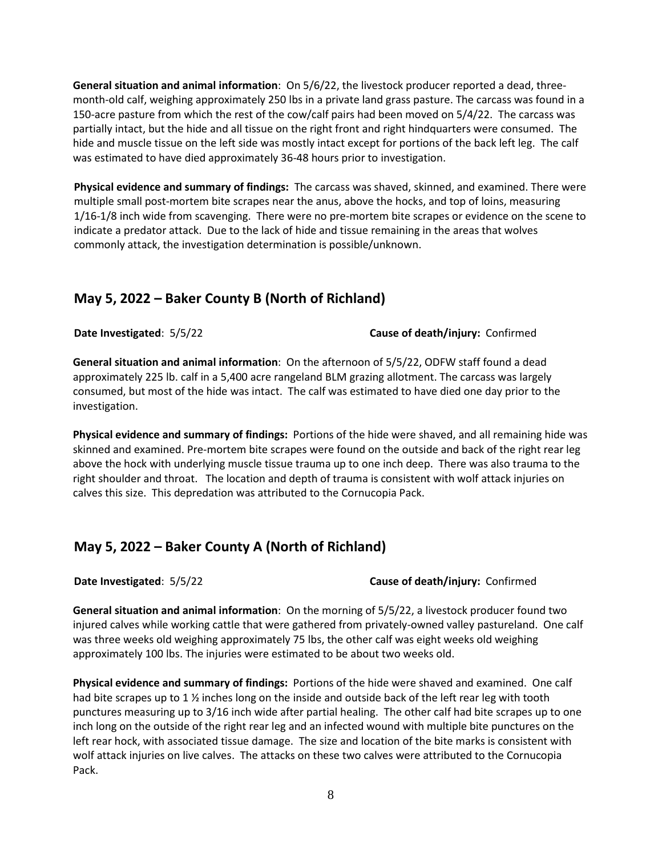**General situation and animal information**: On 5/6/22, the livestock producer reported a dead, threemonth-old calf, weighing approximately 250 lbs in a private land grass pasture. The carcass was found in a 150-acre pasture from which the rest of the cow/calf pairs had been moved on 5/4/22. The carcass was partially intact, but the hide and all tissue on the right front and right hindquarters were consumed. The hide and muscle tissue on the left side was mostly intact except for portions of the back left leg. The calf was estimated to have died approximately 36-48 hours prior to investigation.

**Physical evidence and summary of findings:** The carcass was shaved, skinned, and examined. There were multiple small post-mortem bite scrapes near the anus, above the hocks, and top of loins, measuring 1/16-1/8 inch wide from scavenging. There were no pre-mortem bite scrapes or evidence on the scene to indicate a predator attack. Due to the lack of hide and tissue remaining in the areas that wolves commonly attack, the investigation determination is possible/unknown.

## **May 5, 2022 – Baker County B (North of Richland)**

**Date Investigated**: 5/5/22 **Cause of death/injury:** Confirmed

**General situation and animal information**: On the afternoon of 5/5/22, ODFW staff found a dead approximately 225 lb. calf in a 5,400 acre rangeland BLM grazing allotment. The carcass was largely consumed, but most of the hide was intact. The calf was estimated to have died one day prior to the investigation.

**Physical evidence and summary of findings:** Portions of the hide were shaved, and all remaining hide was skinned and examined. Pre-mortem bite scrapes were found on the outside and back of the right rear leg above the hock with underlying muscle tissue trauma up to one inch deep. There was also trauma to the right shoulder and throat. The location and depth of trauma is consistent with wolf attack injuries on calves this size. This depredation was attributed to the Cornucopia Pack.

## **May 5, 2022 – Baker County A (North of Richland)**

#### **Date Investigated**: 5/5/22 **Cause of death/injury:** Confirmed

**General situation and animal information**: On the morning of 5/5/22, a livestock producer found two injured calves while working cattle that were gathered from privately-owned valley pastureland. One calf was three weeks old weighing approximately 75 lbs, the other calf was eight weeks old weighing approximately 100 lbs. The injuries were estimated to be about two weeks old.

**Physical evidence and summary of findings:** Portions of the hide were shaved and examined. One calf had bite scrapes up to 1  $\frac{1}{2}$  inches long on the inside and outside back of the left rear leg with tooth punctures measuring up to 3/16 inch wide after partial healing. The other calf had bite scrapes up to one inch long on the outside of the right rear leg and an infected wound with multiple bite punctures on the left rear hock, with associated tissue damage. The size and location of the bite marks is consistent with wolf attack injuries on live calves. The attacks on these two calves were attributed to the Cornucopia Pack.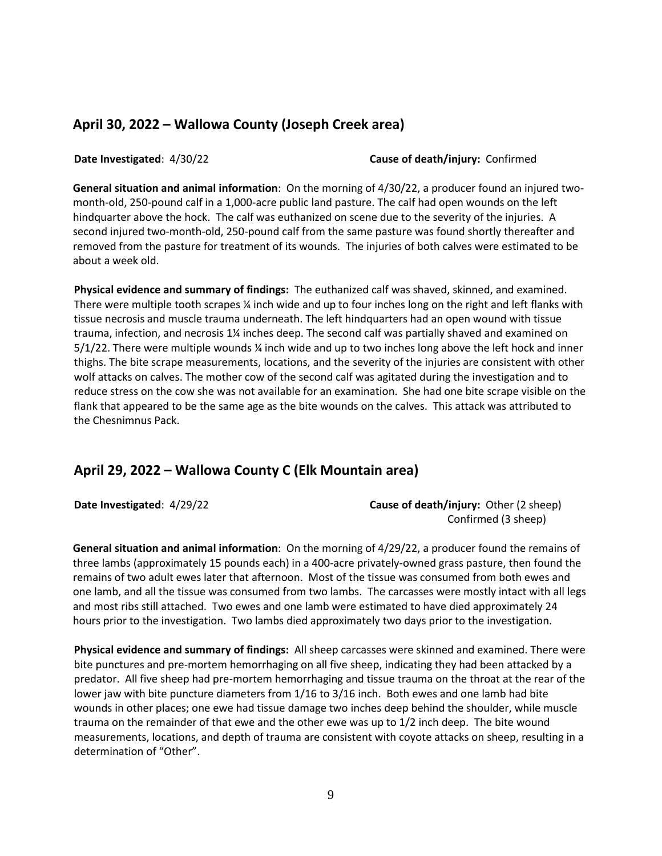#### **April 30, 2022 – Wallowa County (Joseph Creek area)**

**Date Investigated**: 4/30/22 **Cause of death/injury:** Confirmed

**General situation and animal information**: On the morning of 4/30/22, a producer found an injured twomonth-old, 250-pound calf in a 1,000-acre public land pasture. The calf had open wounds on the left hindquarter above the hock. The calf was euthanized on scene due to the severity of the injuries. A second injured two-month-old, 250-pound calf from the same pasture was found shortly thereafter and removed from the pasture for treatment of its wounds. The injuries of both calves were estimated to be about a week old.

**Physical evidence and summary of findings:** The euthanized calf was shaved, skinned, and examined. There were multiple tooth scrapes ¼ inch wide and up to four inches long on the right and left flanks with tissue necrosis and muscle trauma underneath. The left hindquarters had an open wound with tissue trauma, infection, and necrosis 1¼ inches deep. The second calf was partially shaved and examined on 5/1/22. There were multiple wounds ¼ inch wide and up to two inches long above the left hock and inner thighs. The bite scrape measurements, locations, and the severity of the injuries are consistent with other wolf attacks on calves. The mother cow of the second calf was agitated during the investigation and to reduce stress on the cow she was not available for an examination. She had one bite scrape visible on the flank that appeared to be the same age as the bite wounds on the calves. This attack was attributed to the Chesnimnus Pack.

#### **April 29, 2022 – Wallowa County C (Elk Mountain area)**

**Date Investigated**: 4/29/22 **Cause of death/injury:** Other (2 sheep) Confirmed (3 sheep)

**General situation and animal information**: On the morning of 4/29/22, a producer found the remains of three lambs (approximately 15 pounds each) in a 400-acre privately-owned grass pasture, then found the remains of two adult ewes later that afternoon. Most of the tissue was consumed from both ewes and one lamb, and all the tissue was consumed from two lambs. The carcasses were mostly intact with all legs and most ribs still attached. Two ewes and one lamb were estimated to have died approximately 24 hours prior to the investigation. Two lambs died approximately two days prior to the investigation.

**Physical evidence and summary of findings:** All sheep carcasses were skinned and examined. There were bite punctures and pre-mortem hemorrhaging on all five sheep, indicating they had been attacked by a predator. All five sheep had pre-mortem hemorrhaging and tissue trauma on the throat at the rear of the lower jaw with bite puncture diameters from 1/16 to 3/16 inch. Both ewes and one lamb had bite wounds in other places; one ewe had tissue damage two inches deep behind the shoulder, while muscle trauma on the remainder of that ewe and the other ewe was up to 1/2 inch deep. The bite wound measurements, locations, and depth of trauma are consistent with coyote attacks on sheep, resulting in a determination of "Other".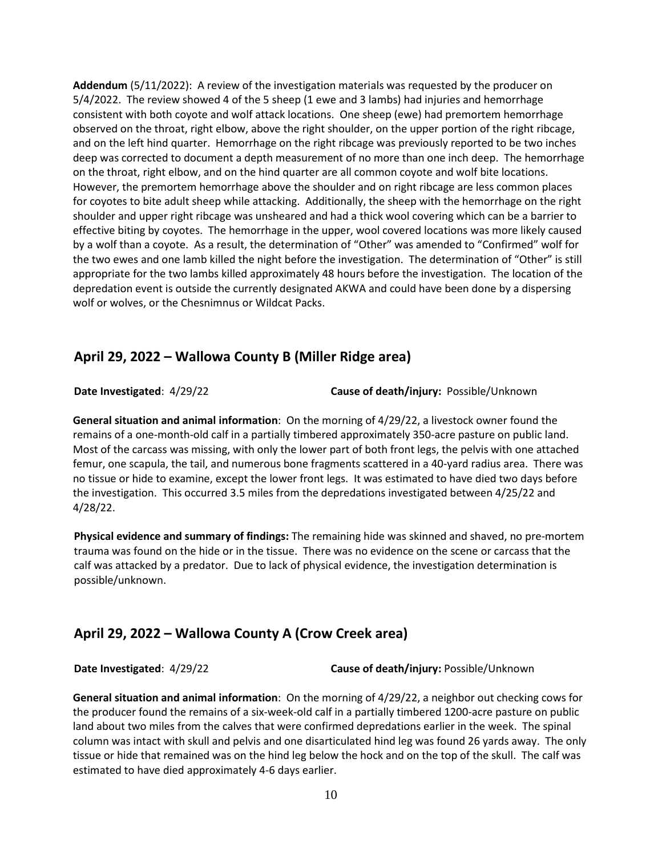**Addendum** (5/11/2022): A review of the investigation materials was requested by the producer on 5/4/2022. The review showed 4 of the 5 sheep (1 ewe and 3 lambs) had injuries and hemorrhage consistent with both coyote and wolf attack locations. One sheep (ewe) had premortem hemorrhage observed on the throat, right elbow, above the right shoulder, on the upper portion of the right ribcage, and on the left hind quarter. Hemorrhage on the right ribcage was previously reported to be two inches deep was corrected to document a depth measurement of no more than one inch deep. The hemorrhage on the throat, right elbow, and on the hind quarter are all common coyote and wolf bite locations. However, the premortem hemorrhage above the shoulder and on right ribcage are less common places for coyotes to bite adult sheep while attacking. Additionally, the sheep with the hemorrhage on the right shoulder and upper right ribcage was unsheared and had a thick wool covering which can be a barrier to effective biting by coyotes. The hemorrhage in the upper, wool covered locations was more likely caused by a wolf than a coyote. As a result, the determination of "Other" was amended to "Confirmed" wolf for the two ewes and one lamb killed the night before the investigation. The determination of "Other" is still appropriate for the two lambs killed approximately 48 hours before the investigation. The location of the depredation event is outside the currently designated AKWA and could have been done by a dispersing wolf or wolves, or the Chesnimnus or Wildcat Packs.

#### **April 29, 2022 – Wallowa County B (Miller Ridge area)**

**Date Investigated**: 4/29/22 **Cause of death/injury:** Possible/Unknown

**General situation and animal information**: On the morning of 4/29/22, a livestock owner found the remains of a one-month-old calf in a partially timbered approximately 350-acre pasture on public land. Most of the carcass was missing, with only the lower part of both front legs, the pelvis with one attached femur, one scapula, the tail, and numerous bone fragments scattered in a 40-yard radius area. There was no tissue or hide to examine, except the lower front legs. It was estimated to have died two days before the investigation. This occurred 3.5 miles from the depredations investigated between 4/25/22 and 4/28/22.

**Physical evidence and summary of findings:** The remaining hide was skinned and shaved, no pre-mortem trauma was found on the hide or in the tissue. There was no evidence on the scene or carcass that the calf was attacked by a predator. Due to lack of physical evidence, the investigation determination is possible/unknown.

## **April 29, 2022 – Wallowa County A (Crow Creek area)**

**Date Investigated**: 4/29/22 **Cause of death/injury:** Possible/Unknown

**General situation and animal information**: On the morning of 4/29/22, a neighbor out checking cows for the producer found the remains of a six-week-old calf in a partially timbered 1200-acre pasture on public land about two miles from the calves that were confirmed depredations earlier in the week. The spinal column was intact with skull and pelvis and one disarticulated hind leg was found 26 yards away. The only tissue or hide that remained was on the hind leg below the hock and on the top of the skull. The calf was estimated to have died approximately 4-6 days earlier.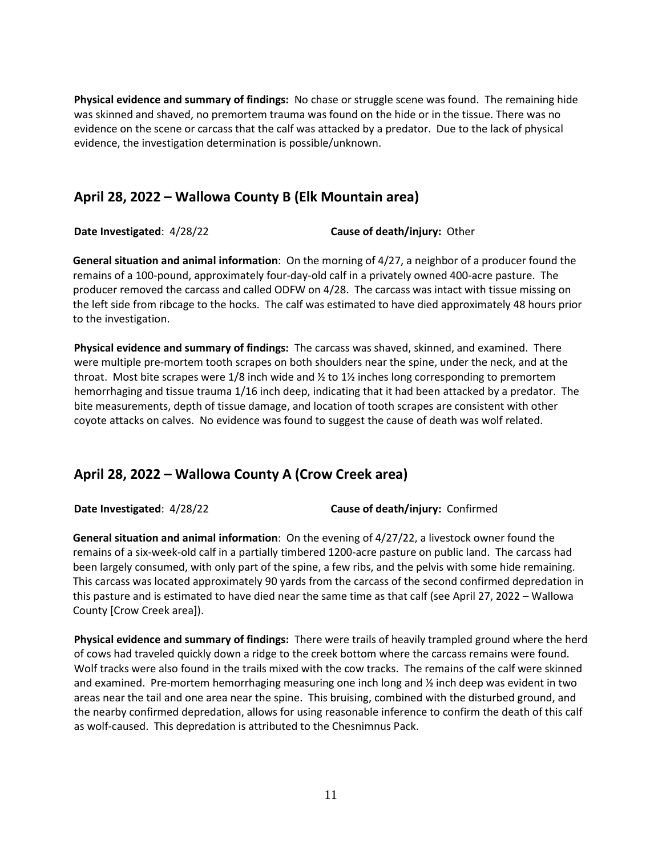**Physical evidence and summary of findings:** No chase or struggle scene was found. The remaining hide was skinned and shaved, no premortem trauma was found on the hide or in the tissue. There was no evidence on the scene or carcass that the calf was attacked by a predator. Due to the lack of physical evidence, the investigation determination is possible/unknown.

#### **April 28, 2022 – Wallowa County B (Elk Mountain area)**

**Date Investigated**: 4/28/22 **Cause of death/injury:** Other

**General situation and animal information**: On the morning of 4/27, a neighbor of a producer found the remains of a 100-pound, approximately four-day-old calf in a privately owned 400-acre pasture. The producer removed the carcass and called ODFW on 4/28. The carcass was intact with tissue missing on the left side from ribcage to the hocks. The calf was estimated to have died approximately 48 hours prior to the investigation.

**Physical evidence and summary of findings:** The carcass was shaved, skinned, and examined. There were multiple pre-mortem tooth scrapes on both shoulders near the spine, under the neck, and at the throat. Most bite scrapes were 1/8 inch wide and  $\frac{1}{2}$  to 1 $\frac{1}{2}$  inches long corresponding to premortem hemorrhaging and tissue trauma 1/16 inch deep, indicating that it had been attacked by a predator. The bite measurements, depth of tissue damage, and location of tooth scrapes are consistent with other coyote attacks on calves. No evidence was found to suggest the cause of death was wolf related.

## **April 28, 2022 – Wallowa County A (Crow Creek area)**

**Date Investigated**: 4/28/22 **Cause of death/injury:** Confirmed

**General situation and animal information**: On the evening of 4/27/22, a livestock owner found the remains of a six-week-old calf in a partially timbered 1200-acre pasture on public land. The carcass had been largely consumed, with only part of the spine, a few ribs, and the pelvis with some hide remaining. This carcass was located approximately 90 yards from the carcass of the second confirmed depredation in this pasture and is estimated to have died near the same time as that calf (see April 27, 2022 – Wallowa County [Crow Creek area]).

**Physical evidence and summary of findings:** There were trails of heavily trampled ground where the herd of cows had traveled quickly down a ridge to the creek bottom where the carcass remains were found. Wolf tracks were also found in the trails mixed with the cow tracks. The remains of the calf were skinned and examined. Pre-mortem hemorrhaging measuring one inch long and ½ inch deep was evident in two areas near the tail and one area near the spine. This bruising, combined with the disturbed ground, and the nearby confirmed depredation, allows for using reasonable inference to confirm the death of this calf as wolf-caused. This depredation is attributed to the Chesnimnus Pack.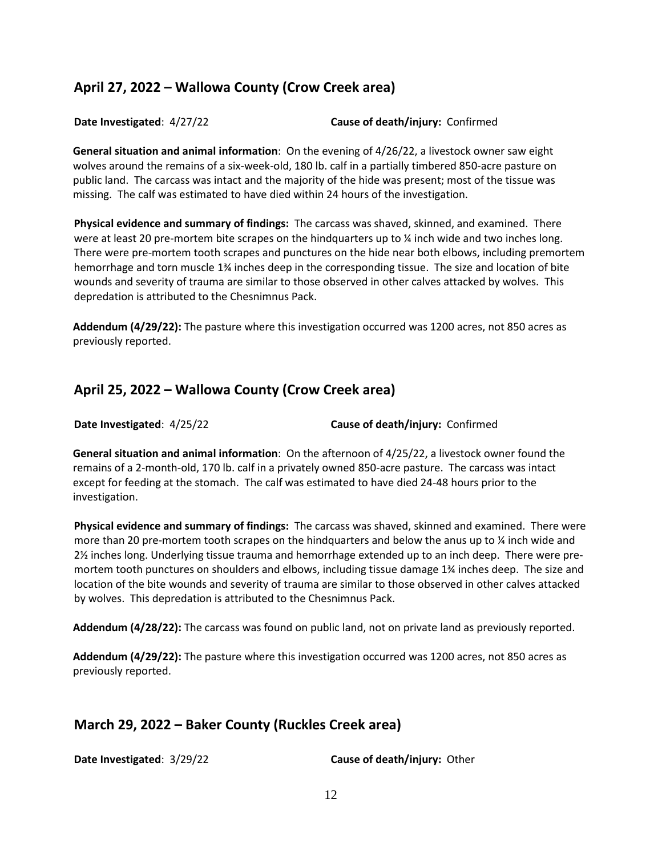## **April 27, 2022 – Wallowa County (Crow Creek area)**

**Date Investigated**: 4/27/22 **Cause of death/injury:** Confirmed

**General situation and animal information**: On the evening of 4/26/22, a livestock owner saw eight wolves around the remains of a six-week-old, 180 lb. calf in a partially timbered 850-acre pasture on public land. The carcass was intact and the majority of the hide was present; most of the tissue was missing. The calf was estimated to have died within 24 hours of the investigation.

**Physical evidence and summary of findings:** The carcass was shaved, skinned, and examined. There were at least 20 pre-mortem bite scrapes on the hindquarters up to  $\chi$  inch wide and two inches long. There were pre-mortem tooth scrapes and punctures on the hide near both elbows, including premortem hemorrhage and torn muscle 1¾ inches deep in the corresponding tissue. The size and location of bite wounds and severity of trauma are similar to those observed in other calves attacked by wolves. This depredation is attributed to the Chesnimnus Pack.

**Addendum (4/29/22):** The pasture where this investigation occurred was 1200 acres, not 850 acres as previously reported.

# **April 25, 2022 – Wallowa County (Crow Creek area)**

**Date Investigated**: 4/25/22 **Cause of death/injury:** Confirmed

**General situation and animal information**: On the afternoon of 4/25/22, a livestock owner found the remains of a 2-month-old, 170 lb. calf in a privately owned 850-acre pasture. The carcass was intact except for feeding at the stomach. The calf was estimated to have died 24-48 hours prior to the investigation.

**Physical evidence and summary of findings:** The carcass was shaved, skinned and examined. There were more than 20 pre-mortem tooth scrapes on the hindquarters and below the anus up to  $\frac{1}{4}$  inch wide and 2½ inches long. Underlying tissue trauma and hemorrhage extended up to an inch deep. There were premortem tooth punctures on shoulders and elbows, including tissue damage 1¾ inches deep. The size and location of the bite wounds and severity of trauma are similar to those observed in other calves attacked by wolves. This depredation is attributed to the Chesnimnus Pack.

**Addendum (4/28/22):** The carcass was found on public land, not on private land as previously reported.

**Addendum (4/29/22):** The pasture where this investigation occurred was 1200 acres, not 850 acres as previously reported.

## **March 29, 2022 – Baker County (Ruckles Creek area)**

**Date Investigated**: 3/29/22 **Cause of death/injury:** Other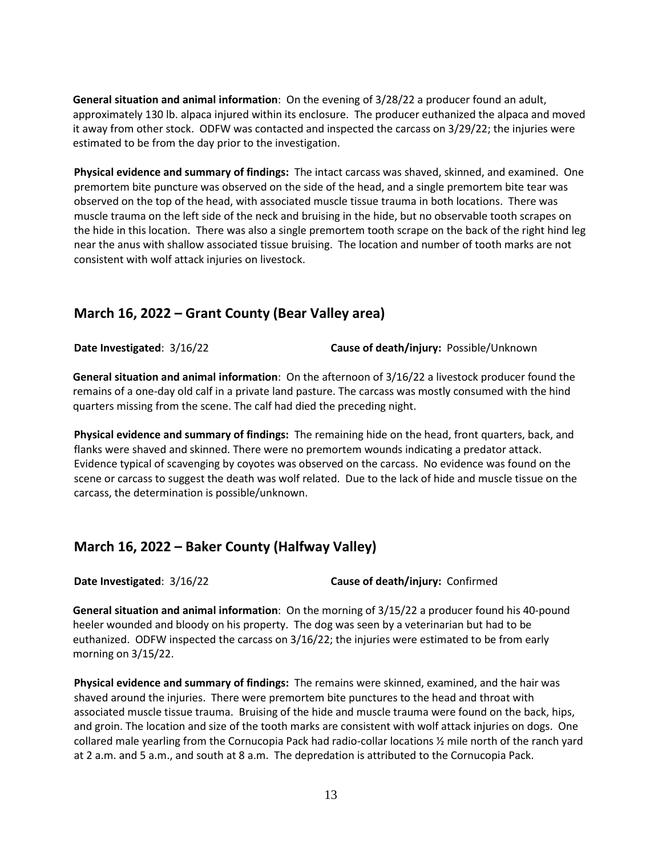**General situation and animal information**: On the evening of 3/28/22 a producer found an adult, approximately 130 lb. alpaca injured within its enclosure. The producer euthanized the alpaca and moved it away from other stock. ODFW was contacted and inspected the carcass on 3/29/22; the injuries were estimated to be from the day prior to the investigation.

**Physical evidence and summary of findings:** The intact carcass was shaved, skinned, and examined. One premortem bite puncture was observed on the side of the head, and a single premortem bite tear was observed on the top of the head, with associated muscle tissue trauma in both locations. There was muscle trauma on the left side of the neck and bruising in the hide, but no observable tooth scrapes on the hide in this location. There was also a single premortem tooth scrape on the back of the right hind leg near the anus with shallow associated tissue bruising. The location and number of tooth marks are not consistent with wolf attack injuries on livestock.

#### **March 16, 2022 – Grant County (Bear Valley area)**

**Date Investigated**: 3/16/22 **Cause of death/injury:** Possible/Unknown

**General situation and animal information**: On the afternoon of 3/16/22 a livestock producer found the remains of a one-day old calf in a private land pasture. The carcass was mostly consumed with the hind quarters missing from the scene. The calf had died the preceding night.

**Physical evidence and summary of findings:** The remaining hide on the head, front quarters, back, and flanks were shaved and skinned. There were no premortem wounds indicating a predator attack. Evidence typical of scavenging by coyotes was observed on the carcass. No evidence was found on the scene or carcass to suggest the death was wolf related. Due to the lack of hide and muscle tissue on the carcass, the determination is possible/unknown.

## **March 16, 2022 – Baker County (Halfway Valley)**

**Date Investigated**: 3/16/22 **Cause of death/injury:** Confirmed

**General situation and animal information**: On the morning of 3/15/22 a producer found his 40-pound heeler wounded and bloody on his property. The dog was seen by a veterinarian but had to be euthanized. ODFW inspected the carcass on 3/16/22; the injuries were estimated to be from early morning on 3/15/22.

**Physical evidence and summary of findings:** The remains were skinned, examined, and the hair was shaved around the injuries. There were premortem bite punctures to the head and throat with associated muscle tissue trauma. Bruising of the hide and muscle trauma were found on the back, hips, and groin. The location and size of the tooth marks are consistent with wolf attack injuries on dogs. One collared male yearling from the Cornucopia Pack had radio-collar locations ½ mile north of the ranch yard at 2 a.m. and 5 a.m., and south at 8 a.m. The depredation is attributed to the Cornucopia Pack.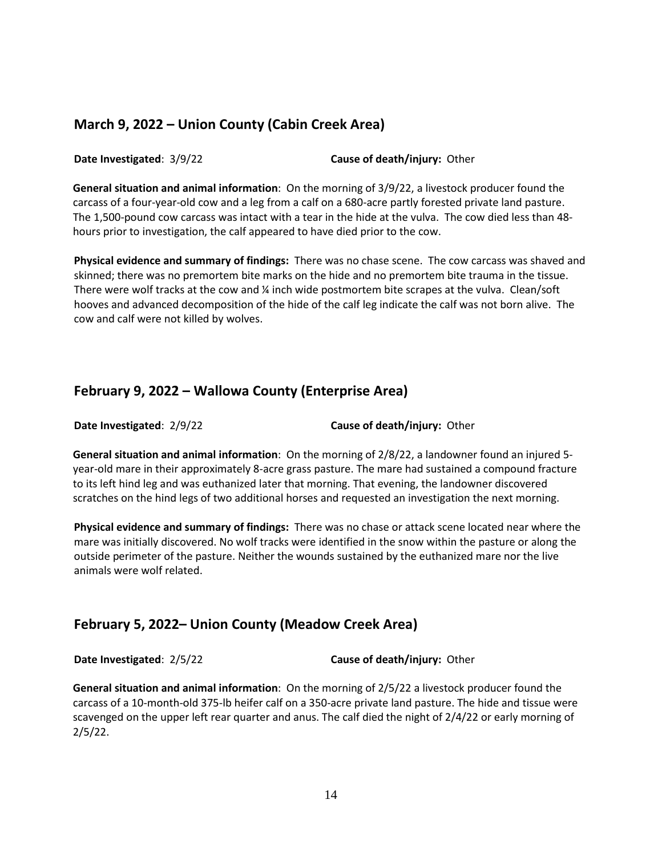#### **March 9, 2022 – Union County (Cabin Creek Area)**

**Date Investigated**: 3/9/22 **Cause of death/injury:** Other

**General situation and animal information**: On the morning of 3/9/22, a livestock producer found the carcass of a four-year-old cow and a leg from a calf on a 680-acre partly forested private land pasture. The 1,500-pound cow carcass was intact with a tear in the hide at the vulva. The cow died less than 48 hours prior to investigation, the calf appeared to have died prior to the cow.

**Physical evidence and summary of findings:** There was no chase scene. The cow carcass was shaved and skinned; there was no premortem bite marks on the hide and no premortem bite trauma in the tissue. There were wolf tracks at the cow and % inch wide postmortem bite scrapes at the vulva. Clean/soft hooves and advanced decomposition of the hide of the calf leg indicate the calf was not born alive. The cow and calf were not killed by wolves.

## **February 9, 2022 – Wallowa County (Enterprise Area)**

**Date Investigated**: 2/9/22 **Cause of death/injury:** Other

**General situation and animal information**: On the morning of 2/8/22, a landowner found an injured 5 year-old mare in their approximately 8-acre grass pasture. The mare had sustained a compound fracture to its left hind leg and was euthanized later that morning. That evening, the landowner discovered scratches on the hind legs of two additional horses and requested an investigation the next morning.

**Physical evidence and summary of findings:** There was no chase or attack scene located near where the mare was initially discovered. No wolf tracks were identified in the snow within the pasture or along the outside perimeter of the pasture. Neither the wounds sustained by the euthanized mare nor the live animals were wolf related.

## **February 5, 2022– Union County (Meadow Creek Area)**

**Date Investigated**: 2/5/22 **Cause of death/injury:** Other

**General situation and animal information**: On the morning of 2/5/22 a livestock producer found the carcass of a 10-month-old 375-lb heifer calf on a 350-acre private land pasture. The hide and tissue were scavenged on the upper left rear quarter and anus. The calf died the night of 2/4/22 or early morning of 2/5/22.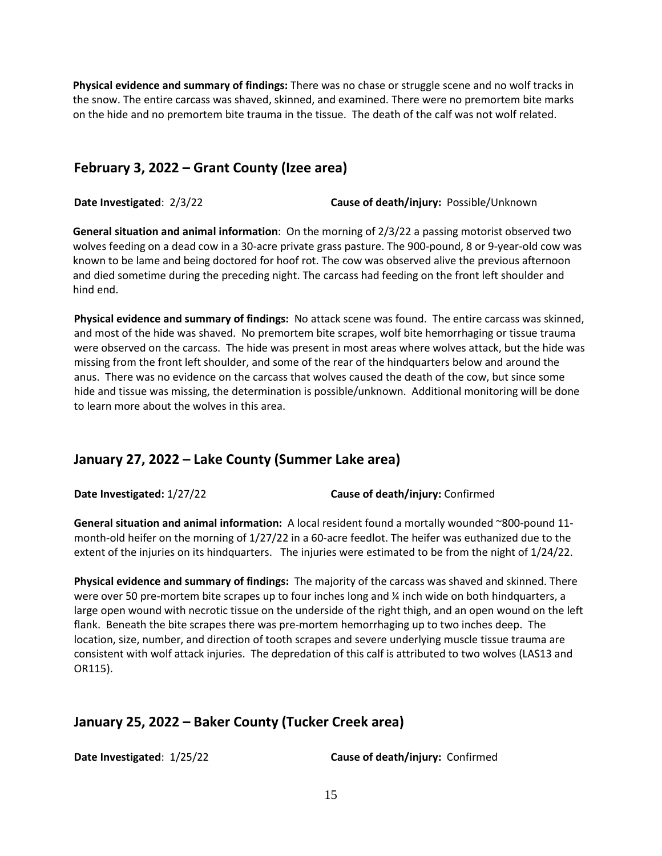**Physical evidence and summary of findings:** There was no chase or struggle scene and no wolf tracks in the snow. The entire carcass was shaved, skinned, and examined. There were no premortem bite marks on the hide and no premortem bite trauma in the tissue. The death of the calf was not wolf related.

#### **February 3, 2022 – Grant County (Izee area)**

**Date Investigated**: 2/3/22 **Cause of death/injury:** Possible/Unknown

**General situation and animal information**: On the morning of 2/3/22 a passing motorist observed two wolves feeding on a dead cow in a 30-acre private grass pasture. The 900-pound, 8 or 9-year-old cow was known to be lame and being doctored for hoof rot. The cow was observed alive the previous afternoon and died sometime during the preceding night. The carcass had feeding on the front left shoulder and hind end.

**Physical evidence and summary of findings:** No attack scene was found. The entire carcass was skinned, and most of the hide was shaved. No premortem bite scrapes, wolf bite hemorrhaging or tissue trauma were observed on the carcass. The hide was present in most areas where wolves attack, but the hide was missing from the front left shoulder, and some of the rear of the hindquarters below and around the anus. There was no evidence on the carcass that wolves caused the death of the cow, but since some hide and tissue was missing, the determination is possible/unknown. Additional monitoring will be done to learn more about the wolves in this area.

## **January 27, 2022 – Lake County (Summer Lake area)**

**Date Investigated:** 1/27/22 **Cause of death/injury:** Confirmed

**General situation and animal information:** A local resident found a mortally wounded ~800-pound 11 month-old heifer on the morning of 1/27/22 in a 60-acre feedlot. The heifer was euthanized due to the extent of the injuries on its hindquarters. The injuries were estimated to be from the night of 1/24/22.

**Physical evidence and summary of findings:** The majority of the carcass was shaved and skinned. There were over 50 pre-mortem bite scrapes up to four inches long and % inch wide on both hindquarters, a large open wound with necrotic tissue on the underside of the right thigh, and an open wound on the left flank. Beneath the bite scrapes there was pre-mortem hemorrhaging up to two inches deep. The location, size, number, and direction of tooth scrapes and severe underlying muscle tissue trauma are consistent with wolf attack injuries. The depredation of this calf is attributed to two wolves (LAS13 and OR115).

#### **January 25, 2022 – Baker County (Tucker Creek area)**

**Date Investigated**: 1/25/22 **Cause of death/injury:** Confirmed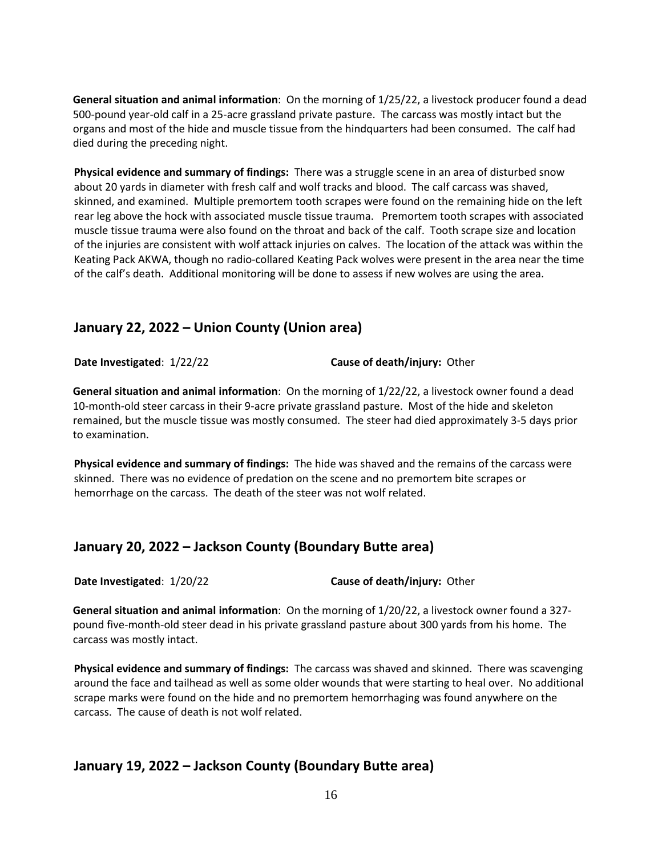**General situation and animal information**: On the morning of 1/25/22, a livestock producer found a dead 500-pound year-old calf in a 25-acre grassland private pasture. The carcass was mostly intact but the organs and most of the hide and muscle tissue from the hindquarters had been consumed. The calf had died during the preceding night.

**Physical evidence and summary of findings:** There was a struggle scene in an area of disturbed snow about 20 yards in diameter with fresh calf and wolf tracks and blood. The calf carcass was shaved, skinned, and examined. Multiple premortem tooth scrapes were found on the remaining hide on the left rear leg above the hock with associated muscle tissue trauma. Premortem tooth scrapes with associated muscle tissue trauma were also found on the throat and back of the calf. Tooth scrape size and location of the injuries are consistent with wolf attack injuries on calves. The location of the attack was within the Keating Pack AKWA, though no radio-collared Keating Pack wolves were present in the area near the time of the calf's death. Additional monitoring will be done to assess if new wolves are using the area.

#### **January 22, 2022 – Union County (Union area)**

**Date Investigated**: 1/22/22 **Cause of death/injury:** Other

**General situation and animal information**: On the morning of 1/22/22, a livestock owner found a dead 10-month-old steer carcass in their 9-acre private grassland pasture. Most of the hide and skeleton remained, but the muscle tissue was mostly consumed. The steer had died approximately 3-5 days prior to examination.

**Physical evidence and summary of findings:** The hide was shaved and the remains of the carcass were skinned. There was no evidence of predation on the scene and no premortem bite scrapes or hemorrhage on the carcass. The death of the steer was not wolf related.

## **January 20, 2022 – Jackson County (Boundary Butte area)**

**Date Investigated**: 1/20/22 **Cause of death/injury:** Other

**General situation and animal information**: On the morning of 1/20/22, a livestock owner found a 327 pound five-month-old steer dead in his private grassland pasture about 300 yards from his home. The carcass was mostly intact.

**Physical evidence and summary of findings:** The carcass was shaved and skinned. There was scavenging around the face and tailhead as well as some older wounds that were starting to heal over. No additional scrape marks were found on the hide and no premortem hemorrhaging was found anywhere on the carcass. The cause of death is not wolf related.

## **January 19, 2022 – Jackson County (Boundary Butte area)**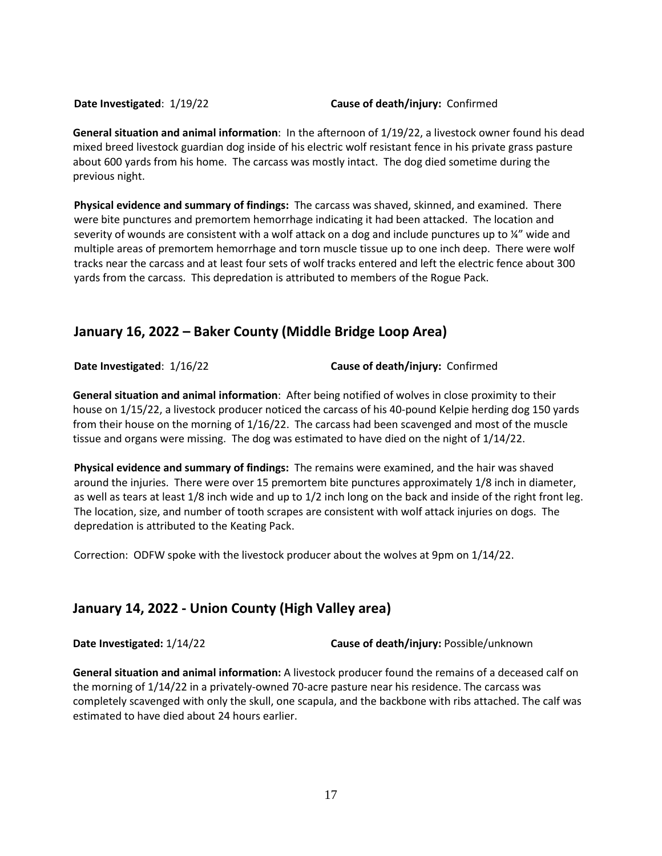#### **Date Investigated**: 1/19/22 **Cause of death/injury:** Confirmed

**General situation and animal information**: In the afternoon of 1/19/22, a livestock owner found his dead mixed breed livestock guardian dog inside of his electric wolf resistant fence in his private grass pasture about 600 yards from his home. The carcass was mostly intact. The dog died sometime during the previous night.

**Physical evidence and summary of findings:** The carcass was shaved, skinned, and examined. There were bite punctures and premortem hemorrhage indicating it had been attacked. The location and severity of wounds are consistent with a wolf attack on a dog and include punctures up to ¼" wide and multiple areas of premortem hemorrhage and torn muscle tissue up to one inch deep. There were wolf tracks near the carcass and at least four sets of wolf tracks entered and left the electric fence about 300 yards from the carcass. This depredation is attributed to members of the Rogue Pack.

#### **January 16, 2022 – Baker County (Middle Bridge Loop Area)**

**Date Investigated**: 1/16/22 **Cause of death/injury:** Confirmed

**General situation and animal information**: After being notified of wolves in close proximity to their house on 1/15/22, a livestock producer noticed the carcass of his 40-pound Kelpie herding dog 150 yards from their house on the morning of 1/16/22. The carcass had been scavenged and most of the muscle tissue and organs were missing. The dog was estimated to have died on the night of 1/14/22.

**Physical evidence and summary of findings:** The remains were examined, and the hair was shaved around the injuries. There were over 15 premortem bite punctures approximately 1/8 inch in diameter, as well as tears at least 1/8 inch wide and up to 1/2 inch long on the back and inside of the right front leg. The location, size, and number of tooth scrapes are consistent with wolf attack injuries on dogs. The depredation is attributed to the Keating Pack.

Correction: ODFW spoke with the livestock producer about the wolves at 9pm on 1/14/22.

#### **January 14, 2022 - Union County (High Valley area)**

**Date Investigated:** 1/14/22 **Cause of death/injury:** Possible/unknown

**General situation and animal information:** A livestock producer found the remains of a deceased calf on the morning of 1/14/22 in a privately-owned 70-acre pasture near his residence. The carcass was completely scavenged with only the skull, one scapula, and the backbone with ribs attached. The calf was estimated to have died about 24 hours earlier.